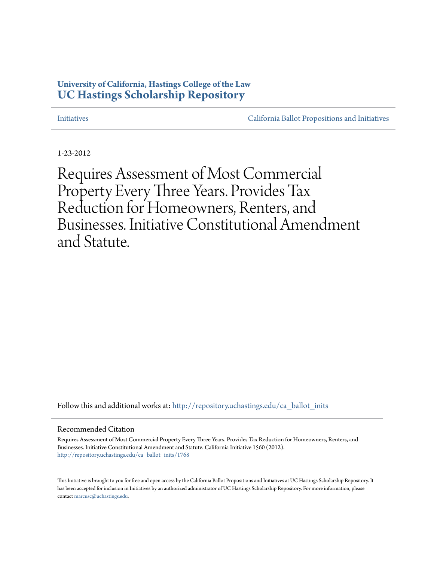# **University of California, Hastings College of the Law [UC Hastings Scholarship Repository](http://repository.uchastings.edu?utm_source=repository.uchastings.edu%2Fca_ballot_inits%2F1768&utm_medium=PDF&utm_campaign=PDFCoverPages)**

[Initiatives](http://repository.uchastings.edu/ca_ballot_inits?utm_source=repository.uchastings.edu%2Fca_ballot_inits%2F1768&utm_medium=PDF&utm_campaign=PDFCoverPages) [California Ballot Propositions and Initiatives](http://repository.uchastings.edu/ca_ballots?utm_source=repository.uchastings.edu%2Fca_ballot_inits%2F1768&utm_medium=PDF&utm_campaign=PDFCoverPages)

1-23-2012

Requires Assessment of Most Commercial Property Every Three Years. Provides Tax Reduction for Homeowners, Renters, and Businesses. Initiative Constitutional Amendment and Statute.

Follow this and additional works at: [http://repository.uchastings.edu/ca\\_ballot\\_inits](http://repository.uchastings.edu/ca_ballot_inits?utm_source=repository.uchastings.edu%2Fca_ballot_inits%2F1768&utm_medium=PDF&utm_campaign=PDFCoverPages)

#### Recommended Citation

Requires Assessment of Most Commercial Property Every Three Years. Provides Tax Reduction for Homeowners, Renters, and Businesses. Initiative Constitutional Amendment and Statute. California Initiative 1560 (2012). [http://repository.uchastings.edu/ca\\_ballot\\_inits/1768](http://repository.uchastings.edu/ca_ballot_inits/1768?utm_source=repository.uchastings.edu%2Fca_ballot_inits%2F1768&utm_medium=PDF&utm_campaign=PDFCoverPages)

This Initiative is brought to you for free and open access by the California Ballot Propositions and Initiatives at UC Hastings Scholarship Repository. It has been accepted for inclusion in Initiatives by an authorized administrator of UC Hastings Scholarship Repository. For more information, please contact [marcusc@uchastings.edu](mailto:marcusc@uchastings.edu).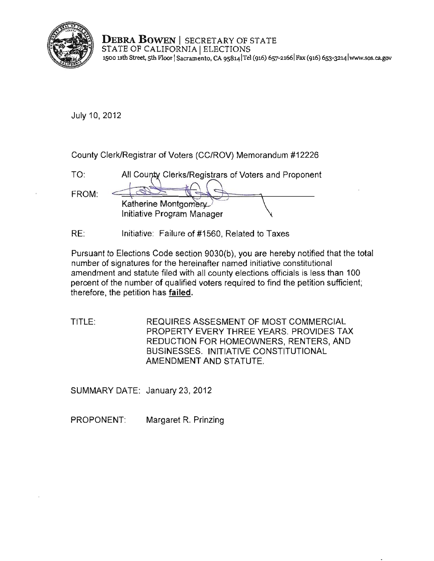

**DEBRA BOWEN** I SECRETARY OF STATE STATE OF CALIFORNIA | ELECTIONS **1500 11th Street, 5th Floor I Sacramento, CA 9S8141Tel (916) 657·21661 Fax (916) 653-3214 lwww.sos.ca.gov** 

July 10, 2012

county Clerk/Registrar of Voters (CC/ROV) Memorandum #12226

| TO <sup>.</sup> | All County Clerks/Registrars of Voters and Proponent |
|-----------------|------------------------------------------------------|
| FROM:           | Katherine Montgomery<br>Initiative Program Manager   |

RE: Initiative: Failure of #1560, Related to Taxes

Pursuant to Elections Code section 9030(b), you are hereby notified that the total **number of signatures for the hereinafter named initiative constitutional**  amendment and statute filed with all county elections officials is less than 100 percent of the number of qualified voters required to find the petition sufficient; therefore, the petition has failed.

TITLE: REQUIRES ASSESMENT OF MOST COMMERCIAL PROPERTY EVERY THREE YEARS. PROVIDES TAX REDUCTION FOR HOMEOWNERS, RENTERS, AND BUSINESSES. INITIATIVE CONSTITUTIONAL AMENDMENT AND STATUTE.

SUMMARY DATE: January 23, 2012

PROPONENT: Margaret R. Prinzing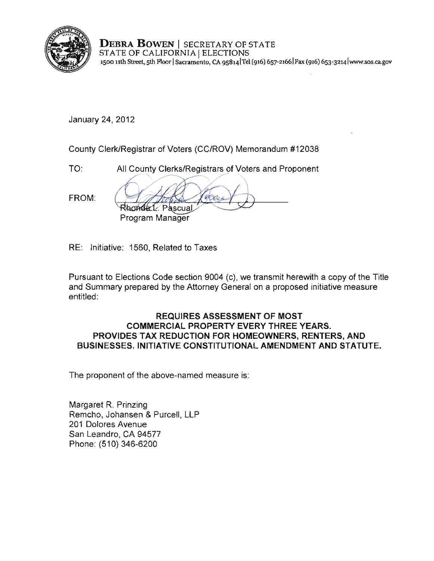

DEBRA BOWEN | SECRETARY OF STATE STATE OF CALIFORNIA | ELECTIONS **1500 nth Street, 5th Floor ISacramento, CA 9s8141Tei (916) 657-21661Fax (916)** 6S3-3214 Iwww.sos.ca.gov

January 24,2012

County Clerk/Registrar of Voters (CC/ROV) Memorandum #12038

TO: All County Clerks/Registrars of Voters and Proponent

FROM:

2012<br>K/Registrar of Voters (CC/ROV) Memorandum #12038<br>All County Clerks/Registrars of Voters and Proponent<br>Rhonder L. Pascual<br>Program Manager **Program Manager** 

RE: Initiative: 1560, Related to Taxes

Pursuant to Elections Code section 9004 (c), we transmit herewith a copy of the Title and Summary prepared by the Attorney General on a proposed initiative measure entitled:

# REQUIRES ASSESSMENT OF MOST COMMERCIAL PROPERTY EVERY THREE YEARS. PROVIDES TAX REDUCTION FOR HOMEOWNERS, RENTERS, AND BUSINESSES. INITIATIVE CONSTITUTIONAL AMENDMENT AND STATUTE.

**The proponent of the above-named measure is:** 

Margaret R. Prinzing Remcho, Johansen & Purcell, LLP 201 Dolores Avenue San Leandro, CA 94577 Phone: (510) 346-6200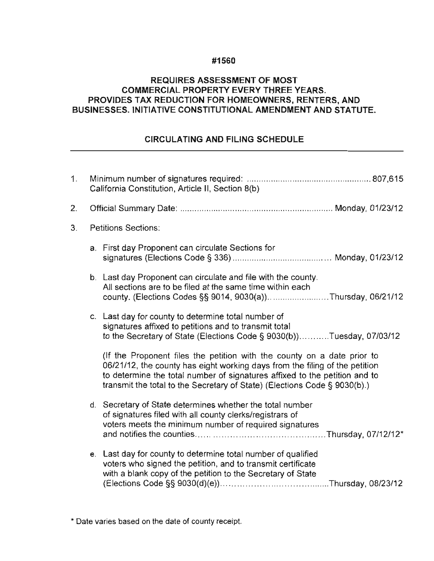## #1560

# REQUIRES ASSESSMENT OF MOST COMMERCIAL PROPERTY EVERY THREE YEARS. PROVIDES TAX REDUCTION FOR HOMEOWNERS, RENTERS, AND BUSINESSES. INITIATIVE CONSTITUTIONAL AMENDMENT AND STATUTE.

# CIRCULATING AND FILING SCHEDULE

| 1. | California Constitution, Article II, Section 8(b) |                                                                                                                                                                                                                                                                                                                   |
|----|---------------------------------------------------|-------------------------------------------------------------------------------------------------------------------------------------------------------------------------------------------------------------------------------------------------------------------------------------------------------------------|
| 2. |                                                   |                                                                                                                                                                                                                                                                                                                   |
| З. | <b>Petitions Sections:</b>                        |                                                                                                                                                                                                                                                                                                                   |
|    |                                                   | a. First day Proponent can circulate Sections for                                                                                                                                                                                                                                                                 |
|    |                                                   | b. Last day Proponent can circulate and file with the county.<br>All sections are to be filed at the same time within each<br>county. (Elections Codes §§ 9014, 9030(a))Thursday, 06/21/12                                                                                                                        |
|    |                                                   | c. Last day for county to determine total number of<br>signatures affixed to petitions and to transmit total<br>to the Secretary of State (Elections Code § 9030(b))Tuesday, 07/03/12                                                                                                                             |
|    |                                                   | (If the Proponent files the petition with the county on a date prior to<br>06/21/12, the county has eight working days from the filing of the petition<br>to determine the total number of signatures affixed to the petition and to<br>transmit the total to the Secretary of State) (Elections Code § 9030(b).) |
|    |                                                   | d. Secretary of State determines whether the total number<br>of signatures filed with all county clerks/registrars of<br>voters meets the minimum number of required signatures                                                                                                                                   |
|    |                                                   | e. Last day for county to determine total number of qualified<br>voters who signed the petition, and to transmit certificate<br>with a blank copy of the petition to the Secretary of State                                                                                                                       |

**\* Date varies based on the date of county receipt.**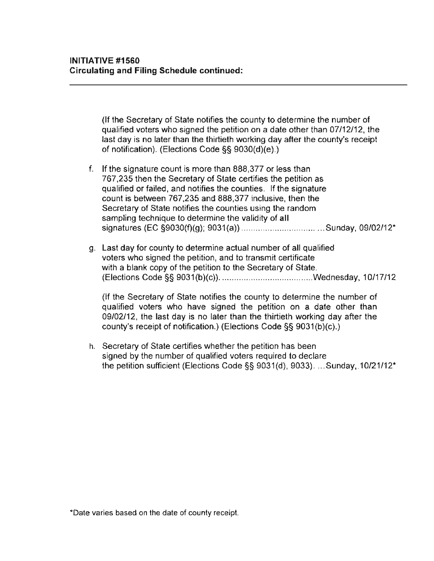(If the Secretary of State notifies the county to determine the number of qualified voters who signed the petition on a date other than 07/12/12. the last day is no later than the thirtieth working day after the county's receipt of notification). (Elections Code §§ 9030(d)(e).)

- f. If the signature count is more than 888.377 or less than 767.235 then the Secretary of State certifies the petition as qualified or failed. and notifies the counties. If the signature count is between 767.235 and 888.377 inclusive. then the Secretary of State notifies the counties using the random sampling technique to determine the validity of **all**  signatures (EC §9030(f)(g); 9031(a» ............ ...................... Sunday. 09/02/12'
- g. Last day for county to determine actual number of all qualified **voters who signed the petition, and to transmit certificate**  with a blank copy of the petition to the Secretary of State. (Elections Code §§ 9031(b)(c)) ....................................... Wednesday. 10/17/12

(If the Secretary of State notifies the county to determine the number of qualified voters who have signed the petition on a date other than 09/02/12. the last day is no later than the thirtieth working day after the county's receipt of notification.) (Elections Code §§ 9031(b)(c).)

h. Secretary of State certifies whether the petition has been signed by the number of qualified voters required to declare the petition sufficient (Elections Code  $\S$ § 9031(d), 9033). ...Sunday, 10/21/12<sup>\*</sup>

**<sup>·</sup>Oate varies based on the date of county receipt.**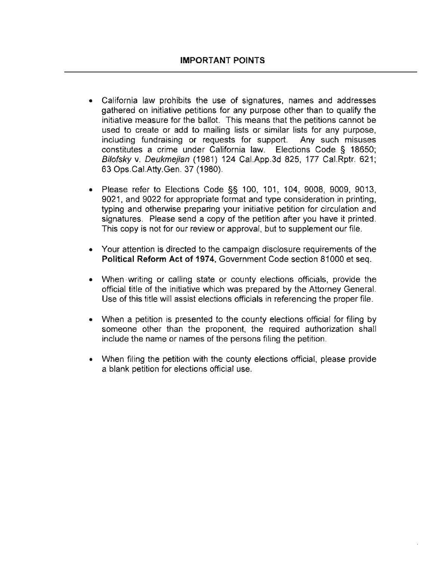- California law prohibits the use of signatures, names and addresses gathered on initiative petitions for any purpose other than to qualify the initiative measure for the ballot. This means that the petitions cannot be **used to create or add to mailing lists or similar lists for any purpose,**  including fundraising or requests for support. Any such misuses constitutes a crime under California law. Elections Code § 18650; Bilofsky v. Deukmejian (1981) 124 Cal.App.3d 825, 177 Cal.Rptr. 621; 63 Ops.CaI.Atty.Gen. 37 (1980).
- Please refer to Elections Code §§ 100, 101, 104, 9008, 9009, 9013, 9021, and 9022 for appropriate format and type consideration in printing, typing and otherwise preparing your initiative petition for circulation and signatures. Please send a copy of the petition after you have it printed. This copy is not for our review or approval, but to supplement our file.
- Your attention is directed to the campaign disclosure requirements of the Political Reform Act of 1974, Government Code section 81000 et seq.
- When writing or calling state or county elections officials, provide the official title of the initiative which was prepared by the Attorney General. Use of this title will assist elections officials in referencing the proper file.
- When a petition is presented to the county elections official for filing by someone other than the proponent, the required authorization shall **include the name or names of the persons filing the petition.**
- When filing the petition with the county elections official, please provide a blank petition for elections official use.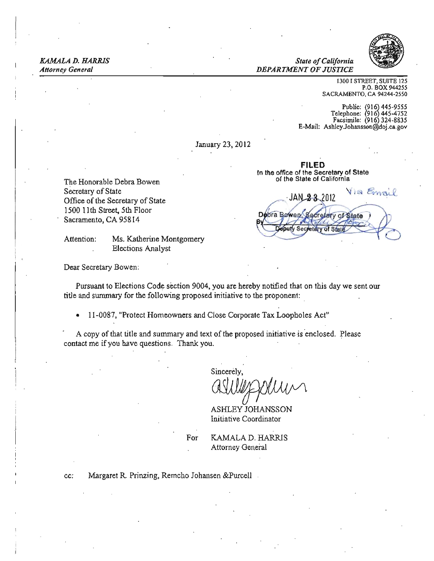KAMALA D. HARRIS *State ofCalifornia* 

*Attorney General DEPARTMENT OF JUSTICE* 



1300 I STREET, SUITE 125 P.O. BOX 944255 SACRAMENTO, CA 94244-2550

Public: !916j44S-9555 Telephone: 916 445-4752 Facsimile: (916) 324-8835 E-Mail: [AshleyJohansson@doj .ca.gov](mailto:Ashley.Johansson@doj.ca.gov) 

January 23, 2012

FILED **In** the office of the Secretary of State

Via Emai JAN 23.2012 Debra Bewen ary of State inuty Sec of Sh

The Honorable Debra Bowen contracts of the State of California Secretary of State Office of the Secretary of State 1500 IIth Street, 5th Floor Sacramento, CA 95814

Attention: Ms. Katherine Montgomery Elections Analyst

Dear Secretary Bowen:

Pursuant to Elections Code section 9004, you are hereby notified that on this day we sent our title and summary for the following proposed initiative to the proponent:

• 11-0087, "Protect Homeowners and Close Corporate Tax Loopholes Act"

A copy of that title and summary and text of the proposed initiative is enclosed. Please contact me if you have questions. Thank you.

Sincerely,

ASHLEY JOHANSSON Initiative Coordinator

For **KAMALA D. HARRIS** Attorney General

cc: Margaret R. Prinzing, Remcho Johansen &Purcell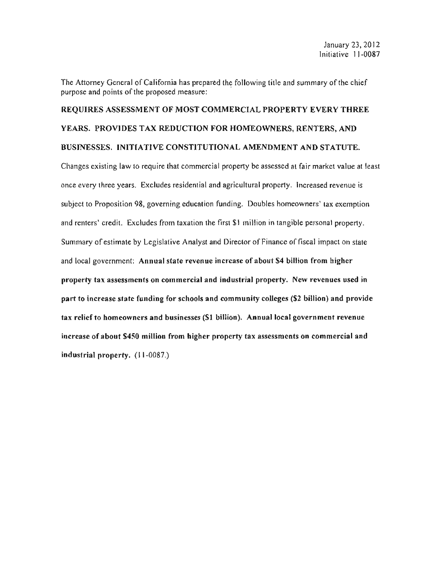The Attorney General of California has prepared the following title and summary of the chief purpose and points of the proposed measure:

# REQUIRES ASSESSMENT OF MOST COMMERCIAL PROPERTY EVERY THREE YEARS. PROVIDES TAX REDUCTION FOR HOMEOWNERS. RENTERS. AND BUSINESSES. INITIATIVE CONSTITUTIONAL AMENDMENT AND STATUTE.

Changes existing law to require that commercial property be assessed at fair market value at least once every three years. Excludes residential and agricultural property. Increased revenue is subject to Proposition 98, governing education funding. Doubles homeowners' tax exemption and renters' credit. Excludes from taxation the first \$1 million in tangible personal property. Summary of estimate by Legislative Analyst and Director of Finance of fiscal impact on state and local government: Annual state revenue increase of about \$4 billion from higher property tax assessments on commercial and industrial property. New revenues used in part to increase state funding for schools and community colleges (\$2 billion) and provide tax relief to homeowners and businesses (\$1 billion). Annual local govern ment revenue increase of about \$450 million from higher property tax assessments on commercial and industrial property. (11-0087.)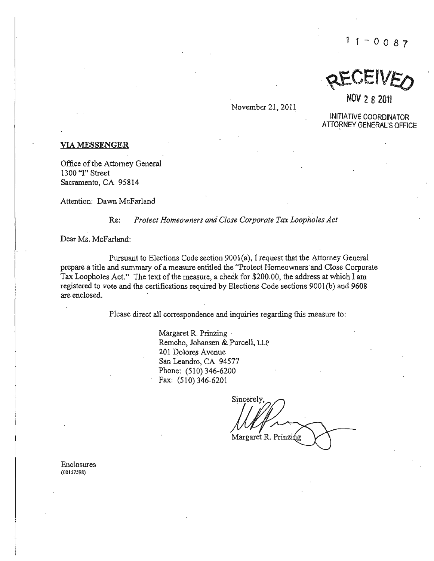$11 - 0087$ 

REVEIVEO

NOV 2 8 2011

November 21, 2011

INITIATIVE COORDINATOR ATTORNEY GENERAL'S OFFICE

#### VIA MESSENGER

Office of the Attorney General 1300 "I" Street Sacramento, CA 95814

Attention: Dawn McFarland

#### Re: *Protect Homeowners and Close Corporate Tax Loopholes Act*

Dear Ms. McFarland:

Pursuant to Elections Code section 9001 (a), I request that the Attorney General prepare a title and summary of a measure entitled the "Protect Homeowners· and Close Corporate Tax Loopholes Act." The text of the measure, a check for \$200.00, the address at which I am registered to vote and the certifications required by Elections Code sections 9001(b) and 9608 are enclosed.

Please direct **all** correspondence and inquiries regarding this measure to:

Margaret R. Prinzing . Remcho, Johansen & Purcell, LLP 201 Dolores Avenue San Leandro, CA 94577 Phone: (510) 346-6200 Fax: (510) 346-6201

Sincerely  $\mu\nu\mu\sim\sim$ Margaret R. Prinzing  $\overline{r}$ 

Enclosures (00157598)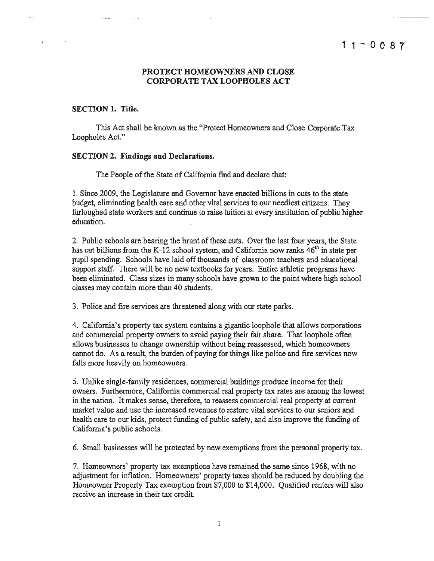#### PROTECT HOMEOWNERS AND CLOSE CORPORATE TAX LOOPHOLES ACT

#### SECTION 1. Title.

المسترد

This Act shall be known as the "Protect Homeowners and Close Corporate Tax Loopholes Act."

#### SECTION 2. Findings and Declarations.

The People of the State of California find and declare that:

1. Since 2009, the Legislature and Governor have enacted billions in cuts to the state budget, eliminating hea1th care and other vital services to our neediest citizens. They furloughed state workers and continue to raise tuition at every institution of public higher education.

2. Public schools are bearing the brunt of these cuts. Over the last four years, the State has cut billions from the K-12 school system, and California now ranks  $46<sup>th</sup>$  in state per pupil spending. Schools have laid off thousands of classroom teachers and educational support staff. There will be no new textbooks for years. Entire athletic programs have been eliminated. Class sizes in many schools have grown to the point where high school classes may contain more than 40 students.

3. Police and fire services are threatened along with our state parks.

4. California's property tax system contains a gigantic loophole that allows corporations and commercial property owners to avoid paying their fair share. That loophole often allows businesses to change ownership without being reassessed, which homeowners cannot do. As a result, the burden of paying for things like police and fire services now falls more heavily on homeowners.

5. Unlike single-family residences, commercial buildings produce income for their owners. Furthermore, California commercial real property tax rates are among the lowest in the nation. It makes sense, therefore, to reassess commercial real property at current market value and use the increased revenues to restore vital services to our seniors and health care to our kids, protect funding of public safety, and also improve the funding of California's public schools.

6. Small businesses will be protected by new exemptions from the personal property tax.

7. Homeowners' property tax exemptions have remained the same since 1968, with no adjustment for inflation. Homeowners' property taxes should be reduced by doubling the Homeowner Property Tax exemption from \$7,000 to \$14,000. Qualified renters will also receive an increase in their tax credit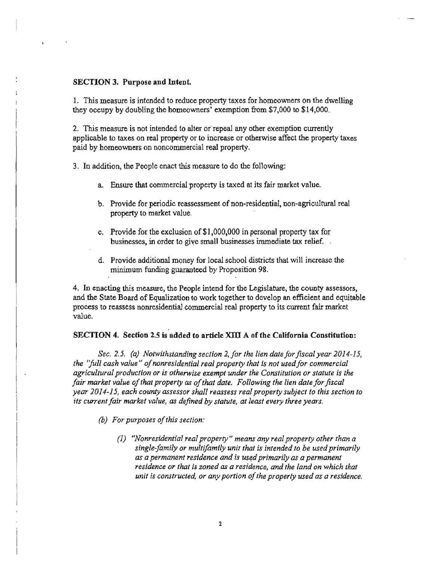#### SECTION 3. Purpose and Intent.

1. This measure is intended to reduce property taxes for homeowners on the dwelling they occupy by doubling the homeowners' exemption from \$7,000 to \$14,000.

2. This measure is not intended to alter or'repeal any other exemption currently applicable to taxes on real property or to increase or otherwise affect the property taxes paid by homeowners on noncommercial real property.

3. In addition, the People enact this measure to do the following:

- a. Ensure that commercial property is taxed at its fair market value.
- b. Provide for periodic reassessment of non-residential, non-agricultural real property to market value.
- c. Provide for the exclusion of \$1,000,000 in personal property tax for businesses, in order to give small businesses immediate tax relief.
- d. Provide additional money for local school districts that will increase the minimum funding guaranteed by Proposition 98.

4. In enacting this measure, the People intend for the Legislature, the county assessors, and the State Board of Equalization to work together to develop an efficient and equitable process to reassess nonresidential commercial real property to its current fair market value.

#### SECTION 4. Section 2.5 is added to article XIII A of the California Constitution:

*Sec.* 2.5. *(a) Notwithstanding section* 2, *for the lien date for fiscal year 2014-15, the "full cash value" of nonresidential real property that is not used for commercial agricultural production or is otherwise exempt under the Constitution or statute is the*  fair market value of that property as of that date. Following the lien date for fiscal *year 2014-15, each county assessor shall reassess real property subject to this section to its current fair market value, as defined by statute, at least every three years.* 

*(b) For purposes o/this section:* 

*(1) "Nonresidential real property" means any real property other than a single-family or multifamily unit that is intended to be used primarily as* a *permanent residence and is USE;d primarily as a permanent*  residence or that is zoned as a residence, and the land on which that *unit is constructed, or any portion 0/the property used as a residence.*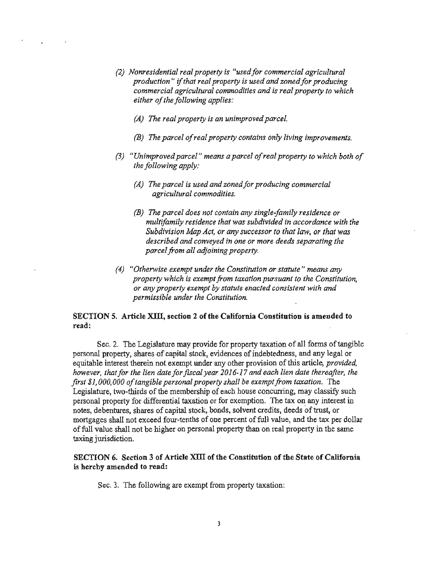- *(2) Nonresidential real property is "usedfor commercial agricultural*  production" if that real property is used and zoned for producing *commercial agricultural commodities and is real property to which either ofthe following applies:* 
	- *(A) The real property is an unimproved parcel.*
	- *(B) The parcel ofreal property contains only living improvements.*
- (3) *"Unimproved parcel" means a parcel ofreal property to which both of the following apply:* 
	- *(A) The parcel is used and zoned for producing commercial agricultural commodities.*
	- ! *(B) The parcel does not contain any single-family residence or multifamily residence that was subdivided in accordance with the Subdivision Map Act, or any successor to that law. or that was described and conveyed in one or more deeds separating the parcel from all adjoining property.*
- *(4) "Otherwise exempt under the Constitution or statute" means any property which is exempt from taxation pursuant to the Constitution, or any property exempt by statute enacted consistent with and permissible under the Constitution.*

#### SECTION 5. Article XIII, section 2 of the California Constitution is amended to read:

Sec. 2. The Legislature may provide for property taxation of all forms of tangible personal property, shares of capital stock, evidences of indebtedness, and any legal or equitable interest therein not exempt under any other provision of this article, *provided*, *however, that for the lien date for fiscal year 2016-17 and each lien date thereafter, the first \$1,000,000 oftangible personal property shall be exempt from taxation.* The Legislature, two-thirds of the membership of each house concurring, may classify such personal property for differential taxation or for exemption. The tax on any interest in notes, debentures, shares of capital stock, bonds, solvent credits, deeds of trust, or mortgages shall not exceed four-tenths of one percent of full value, and the tax per dollar offull value shall not be higher on personal property than on real property in the same taxing jurisdiction.

### SECTION 6. Section 3 of Article XUI of tbe Constitution of the State of California is hereby amended to read:

Sec. 3. The following are exempt from property taxation: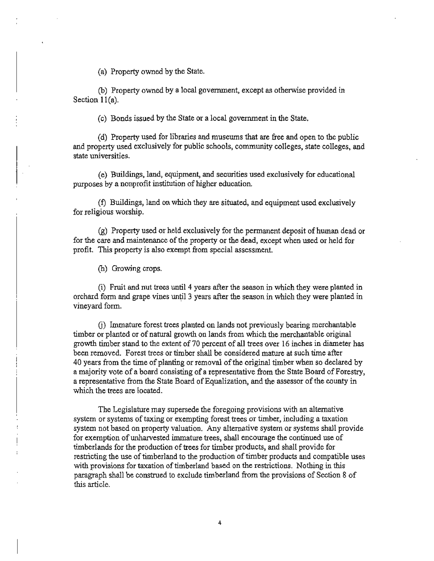(a) Property owned by the State.

(b) Property owned by a local government, except as otherwise provided in Section 11(a).

(c) Bonds issued by the State or a local govenunent in the State.

(d) Property used for libraries and museums that are free and open to the public and property used exclusively for public schools, community colleges, state colleges, and state universities.

(e) Buildings, land, equipment, and securities used exclusively for educational purposes by a nonprofit institution of higher education.

(t) Buildings, land on which they are situated, and equipment used exclusively for religious worship.

(g) Property used or held exclusively for the permanent deposit ofhuman dead or for the care and maintenance of the property or the dead, except when used or held for profit. This property is also exempt from special assessment.

(h) Growing crops.

 $(i)$  Fruit and nut trees until 4 years after the season in which they were planted in orchard form and grape vines until 3 years after the season in which they were planted in vineyard form.

(j) Immature forest trees planted on lands not previously bearing merchantable timber or planted or of natural growth on lands from which the merchantable original growth timber stand to the extent of 70 percent of all trees over 16 inches in diameter has been removed. Forest trees or timber shall be considered mature at such time after 40 years from the time of planting or removal of the original timber when so declared by a majority vote of a board consisting of a representative from the State Board of Forestry, a representative from the State Board of Equalization, and the assessor of the county in which the trees are located.

The Legislature may supersede the foregoing provisions with an alternative system or systems of taxing or exempting forest trees or timber, including a taxation system not based on property valuation. Any alternative system or systems shall provide for exemption of unharvested inunature trees, shall encourage the continued use of timberlands for the production of trees for timber products, and shall provide for restricting the use of timberland to the production of timber products and compatible uses with provisions for taxation of timberland based on the restrictions. Nothing in this paragraph shall be construed to exclude timberland from the provisions of Section 8 of this article.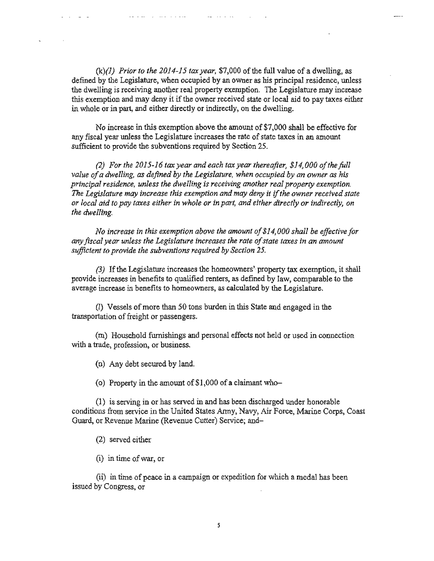$(k)(1)$  *Prior to the 2014-15 tax year*, \$7,000 of the full value of a dwelling, as defined by the Legislature, when occupied by an owner as his principal residence, unless the dwelling is receiving another real property exemption. The Legislature may increase this exemption and may deny it if the owner received state or local aid to pay taxes either in whole or in part, and either directly or indirectly, on the dwelling.

No increase in this exemption above the amount of \$7,000 shall be effective for any fiscal year unless the Legislature increases the rate of state taxes in an amount sufficient to provide the subventions required by Section 25.

*(2) For the 2015-16 tax year and each tax year thereafter, \$14,000 ofthe full*  value of a dwelling, as defined by the Legislature, when occupied by an owner as his *principal residence, unless the dwelling is receiving another real property exemption. The Legislature may increase this exemption and may deny it* if*the owner received state or local aid to pay taxes either in whole or in part, and either directly or indirectly, on the dwelling.* 

*No increase in this exemption above the amount of\$14,000 shall be effective for any fiscal year unless the Legislature increases the rate 0/state taxes in an amount*  sufficient to provide the subventions required by Section 25.

(3) If the Legislature increases the homeowners' property tax exemption, it shall provide increases in benefits to qualified renters, as defined by law, comparable to the average increase in benefits to homeowners, as calculated by the Legislature.

(I) Vessels ofmore than 50 tons burden in this State and engaged in the transportation of freight or passengers.

(m) Household furnishings and personal effects not held or used in connection with a trade, profession, or business.

(n) Any debt secured by land.

(o) Property in the amount of  $$1,000$  of a claimant who-

(1) is serving in or has served in and has been discharged under honorable conditions from service in the United States Anny, Navy, Air Force, Marine Corps, Coast Guard, or Revenue Marine (Revenue Cutter) Service; and

(2) served either

(i) in time ofwar, or

 $(i)$  in time of peace in a campaign or expedition for which a medal has been issued by Congress, or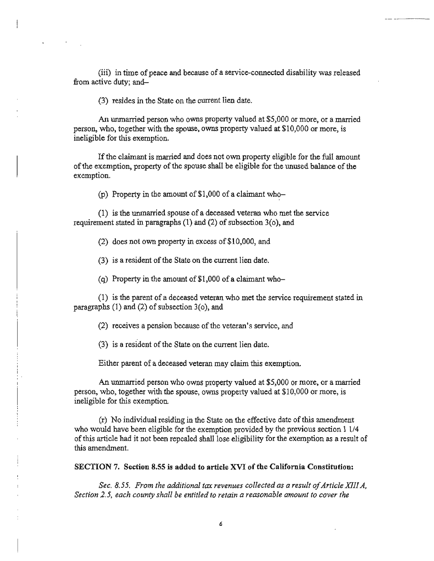(iii) in time of peace and because of a service-connected disability was released from active duty; and

(3) resides in the State on the current lien date.

An unmarried person who owns property valued at \$5,000 or more, or a married person, who, together with the spouse, owns property valued at \$10,000 or more, is ineligible for this exemption.

If the claimant is married and does not own property eligible for the full amount of the exemption, property of the spouse shall be eligible for the unused balance of the exemption.

(p) Property in the amount of  $$1,000$  of a claimant who-

(1) is the urunarried spouse of a deceased veteran who met the service requirement stated in paragraphs  $(1)$  and  $(2)$  of subsection  $3$ (o), and

(2) does not own property in excess of\$lO.OOO. and

 $(3)$  is a resident of the State on the current lien date.

(q) Property in the amount of  $$1,000$  of a claimant who-

 $(1)$  is the parent of a deceased veteran who met the service requirement stated in paragraphs  $(1)$  and  $(2)$  of subsection  $3(0)$ , and

(2) receives a pension because of the veteran's service, and

(3) is a resident of the State on the current lien date.

Either parent of a deceased veteran may claim this exemption.

An unmarried person who owns property valued at \$5,000 or more, or a married person, who, together with the spouse, owns property valued at \$10,000 or more, is ineligible for this exemption.

(r) No individual residing in the State on the effective date of this amendment who would have been eligible for the exemption provided by the previous section 1 1/4 ofthis article had it not been repealed shall lose eligibility for the exemption as a result of this amendment.

SECTION 7. Section 8.55 is added to article XVI of the California Constitution:

Sec. 8.55. *From the additional tax revenues collected as a result of Article XIII A,* Section 2.5, each county shall be entitled to retain a reasonable amount to cover the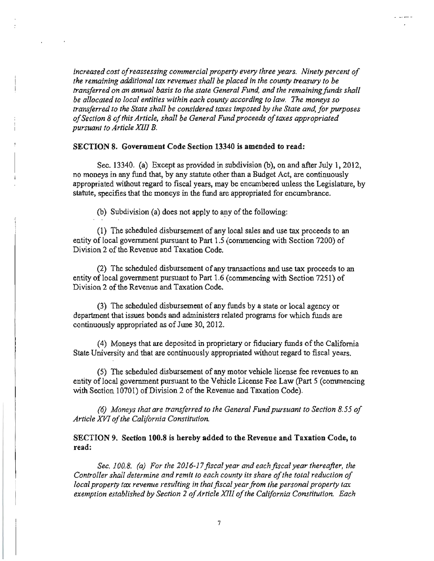*increased cost ofreassessing commercial property every three years. Ninety percent of the remaining additional tax revenues shall be placed in the county treasury to be transferred on an annual basis to the state General Fund, and the remaining funds shall be allocated to local entities within each county according to law. The moneys so transferred to the State shall be considered taxes imposed by the State and, for purposes o/Section* 8 *ofthis Artic/e, shall be General Fund proceeds oftaxes appropriated pursuant to Article XIII B.* 

#### SECTION 8. Government Code Section 13340 is amended to read:

Sec. 13340. (a) Except as provided in subdivision (b), on and after July 1, 2012, no moneys in any fund that, by any statute other than a Budget Act, are continuously appropriated without regard to fiscal years, may be encumbered unless the Legislature, by statute, specifies that thc moneys in the fund are appropriated for encumbrance.

(b) Subdivision (a) does not apply to any of the following:

(1) The scheduled disbursement of any local sales and use tax proceeds to an entity of local government pursuant to Part 1.5 (commencing with Section 7200) of Division 2 of the Revenue and Taxation Code.

(2) The scheduled disbursement of any transactions and use tax proceeds to an entity of local government pursuant to Part 1.6 (commencing with Section 7251) of Division 2 of the Revenue and Taxation Code.

(3) The scheduled disbursement of any funds by a state or local agency or department that issues bonds and administers related programs for which funds are continuously appropriated as of June 30, 2012.

(4) Moneys that are deposited in proprietary or fiduciary funds ofthe California State University and that are continuously appropriated without regard to fiscal years.

(5) The scheduled disbursement of any motor vehicle license fee revenues to an entity of local government pursuant to the Vehicle License Fee Law (Part 5 (commencing with Section 10701) of Division 2 of the Revenue and Taxation Code).

*(6) Moneys that are transferred to the General Fund pursuant to Section* 8.55 *of Article XVIo/the California Constitution.* 

SECTION 9. Section 100.8 is hereby added to the Revenue and Taxation Code, to read:

*Sec. 100.8. (a) For the 2016-17 fiscal year and each fiscal year thereafter, the*  Controller shall determine and remit to each county its share of the total reduction of *local property tax revenue resulting in that fiscal year from the personal property lax exemption established by Section* 2 *ojArticle XIll* 0/*the California Constitution. Each*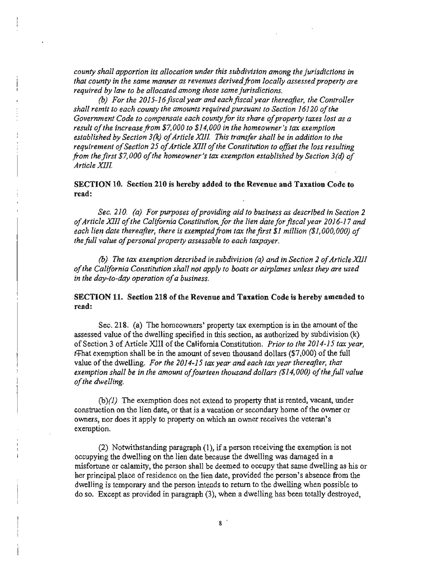*county shall apportion its allocation under this subdivision among the jurisdictions in that county in the same manner as revenues derived from locally assessed property are required by law to be allocated among those same jurisdictions.* 

*(b) For the 2015-16 fiscal year and each fiscal year thereafter, the Controller*  shall remit to each county the amounts required pursuant to Section 16120 of the *Government Code to compensate each countyfor its share ofproperty taxes lost as a result ofthe increase from \$7,000 to \$14,000 in the homeowner's tax exemption*  established by Section 3(k) of Article XIII. This transfer shall be in addition to the *requirement a/Section* 25 *0/Article XIII 0/the Constitution to offset the loss resulting from the first \$7,000 of the homeowner's tax exemption established by Section 3(d) of Arlicle XlII* 

#### SECTION 10. Section 210 is hereby added to the Revenue and Taxation Code to read:

Sec. 210. (a) For purposes of providing aid to business as described in Section 2 *ofArticle XIII ofthe California Constitution, for the lien date for fiscal year 2016-17 and each lien date thereafter, there is exempted from tax the first \$1 million (\$1,000,000) of the full value of personal property assessable to each taxpayer.* 

*(b)* The tax exemption described in subdivision (a) and in Section 2 of Article XIII *ofthe California Constitution shall not apply to boats or airplanes unless they are used in the day-Io-day operalion ofa business.* 

### SECTION 11. Section 218 of the Revenue and Taxation Code is hereby amended to read:

Sec. 218. (a) The homeowners' property tax exemption is in the amount of the assessed value of the dwelling specified in this section, as authorized by subdivision (k) of Section 3 of Article XIII of the California Constitution. *Prior to the 2014·15 tax year,*   $t+$ hat exemption shall be in the amount of seven thousand dollars  $(\$7,000)$  of the full value of the dwelling. *For the 2014·15 lax year and each tax year thereafter, that*  exemption shall be in the amount of fourteen thousand dollars (\$14,000) of the full value of the *dwelling*.

 $(b)(1)$  The exemption does not extend to property that is rented, vacant, under construction on the lien date, or that is a vacation or secondary home of the owner or owners, nor does it apply to property on which an owner receives the veteran's exemption.

 $(2)$  Notwithstanding paragraph  $(1)$ , if a person receiving the exemption is not occupying the dwelling on the lien date because the dwelling was damaged in a misfortune or calamity, the person shall be deemed to occupy that same dwelling as his or her principal place of residence on the lien date. provided the person's absence from the dwelling is temporary and the person intends to return to the dwelling when possible to do so. Except as provided in paragraph (3), when a dwelling has been totally destroyed,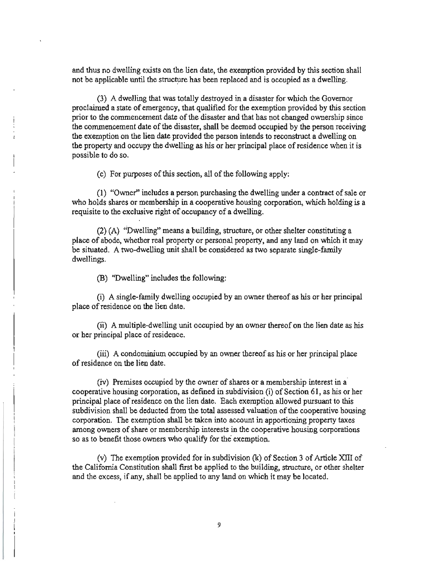and thus no dwelling exists on the lien date, the exemption provided by this section shall not be applicable until the structure has been replaced and is occupied as a dwelling.

(3) A dwelling that was totally destroyed in a disaster for which the Governor proclaimed a state of emergency, that qualified for the exemption provided by this section prior to the commencement date of the disaster and that has not changed ownership since the commencement date of the disaster, shall be deemed occupied by the person receiving the exemption on the lien date provided the person intends to reconstruct a dwelling on the property and occupy the dwelling as his or her principal place of residence when it is possible to do so.

 $(c)$  For purposes of this section, all of the following apply:

(1) "Owner" includes a person purchasing the dwelling under a contract of sale or who holds shares or membership in a cooperative housing corporation, which holding is a requisite to the exclusive right of occupancy of a dwelling.

(2) (A) "Dwelling" means a building, structure, or other shelter constituting a place of abode, whether real property or personal property, and any land on which it may be situated. A two-dwelling unit shall be considered as two separate single-family dwellings.

(B) "Dwelling" includes the following:

(i) A single-family dwelling occupied by an owner thereof as his or her principal place of residence on the lien date.

(ii) A multiple-dwelling unit occupied by an owner thereof on the lien date as his or her principal place of residence.

(iii) A condominium occupied by an owner thereof as his or her principal place of residence on the lien date.

(iv) Premises occupied by the owner of shares or a membership interest in a· cooperative housing corporation, as defined in subdivision (i) of Section  $61$ , as his or her principal place of residence on the lien date. Each exemption allowed pursuant to this subdivision shall be deducted from the total assessed valuation of the cooperative housing corporation. The exemption shall be taken into account in apportioning property taxes among owners of share or membership interests in the cooperative housing corporations so as to benefit those owners who qualify for the exemption.

(v) The exemption provided for in subdivision  $(k)$  of Section 3 of Article XIII of the California Constitution shall first be applied to the building, structure, or other shelter and the excess, if any, shall be applied to any land on which it may be located.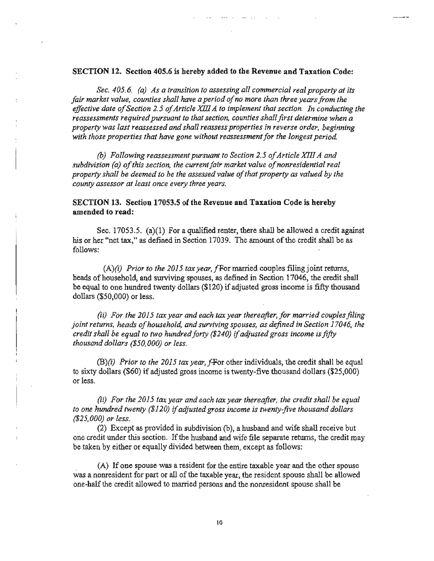#### SECTION 12. Section 405.6 is hereby added to the Revenue and Taxation Code:

*Sec. 405.6. (a) As a transition to assessing all commercial real property at its*  fair market value, counties shall have a period of no more than three years from the effective date of Section 2.5 of Article XIII A to implement that section. In conducting the *reassessments required pursuant to that section, counties shall first determine when a property was last reassessed and shall reassess properties in reverse order, beginning*  with those properties that have gone without reassessment for the longest period.

*(b)* Following reassessment pursuant to Section 2.5 of Article XIII A and subdivision (a) of this section, the current fair market value of nonresidential real *property shall be deemed to be the assessed value ofthat property as valued by the county assessor at least once every three years.* 

### SECTION 13. Section 17053.5 of the Revenue and Taxation Code is hereby amended to read:

Sec. 17053.5. (a)(1) For a qualified renter, there shall be allowed a credit against his or her "net tax," as defined in Section 17039. The amount of the credit shall be as follows:

 $(A)(i)$  *Prior to the 2015 tax year, f* For married couples filing joint returns, heads of household, and surviving spouses, as defined in Section 17046, the credit shall be equal to one hundred twenty dollars (\$120) if adjusted gross income is fifty thousand dollars (\$50,000) or less.

*(ii)* For the 2015 tax year and each tax year thereafter, for married couples filing *joint returns, heads of household, and surviving spouses, as defined in Section 17046, the credit shall be equal to two hundredforty (\$240)* if*adjusted gross income is fifty thousand dollars (\$50,000) or less.* 

(B)(i) *Prior to the 2015 tax year,f-For* other individuals, the credit shall be equal to sixty dollars (\$60) if adjusted gross income is twenty-five thousand dollars (\$25,000) or less.

*(ii) For the 2015 tax year and each tax year thereafter, the credit shall be equal to one hundred twenty (\$120)* if*adjusted gross income is twenty-five thousand dollars (\$25.000) or less.* 

(2) Except as provided in subdivision (b), a husband and wife shall receive but one credit under this section. If the husband and wife file separate returns, the credit may be taken by either or equally divided between them, except as follows:

(A) Ifone spouse was a resident for the entire taxable year and the other spouse was a nonresident for part or all of the taxable year, the resident spouse shall be allowed one-half the credit allowed to married persons and the nonresident spouse shall be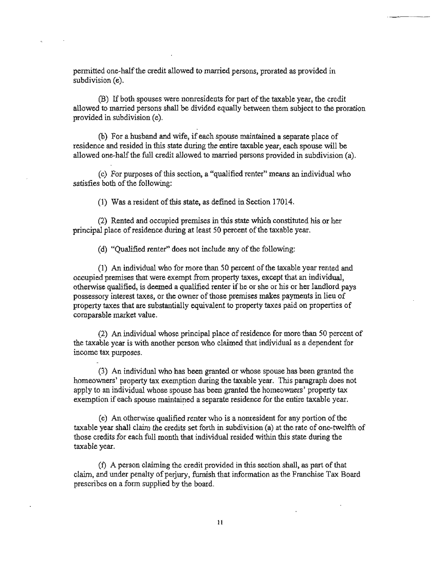permitted one-half the credit allowed to married persons, prorated as provided in subdivision (e).

(B) If both spouses were nonresidents for part of the taxable year, the credit allowed to married persons shall be divided equally between them subject to the proration provided in subdivision (e).

(b) For a husband and wife, ifeach spouse maintained a separate place of residence and resided in this state during the entire taxable year, each spouse will be allowed one-half the full credit allowed to married persons provided in subdivision (a).

(c) For purposes ofthis section, a "qualified renter" means an individual who satisfies both of the following:

(1) Was a resident of this state, as defined in Section 17014.

(2) Rented and occupied premises in this state which constituted his or her principal place of residence during at least 50 percent of the taxable year.

(d) "Qualified renter" does not include any of the following:

(1) An individual who for more than 50 percent of the taxable year rented and occupied premises that were exempt from property taxes, except that an individual, otherwise qualified, is deemed a qualified renter ifhe or she or his or her landlord pays possessory interest taxes, or the owner of those premises makes payments in lieu of property taxes that are substantially equivalent to property taxes paid on properties of comparable market value.

(2) An individual whose principal place of residence for more than 50 percent of the taxable year is with another person who claimed that individual as a dependent for income tax purposes.

(3) An individual who has been granted or whose spouse has been granted the homeowners' property tax exemption during the taxable year. This paragraph does not apply to an individual whose spouse has been granted the homeowners' property tax exemption if each spouse maintained a separate residence for the entire taxable year.

(e) An otherwise qualified renter who is a nonresident for any portion of the taxable year shall claim the credits set forth in subdivision (a) at the rate of one-twelfth of those credits for each full month that individual resided within this state during the taxable year.

(f) A person claiming the credit provided in this section shall, as part of that claim, and under penalty of perjury, furnish that information as the Franchise Tax Board prescribes on a fonn supplied by the board.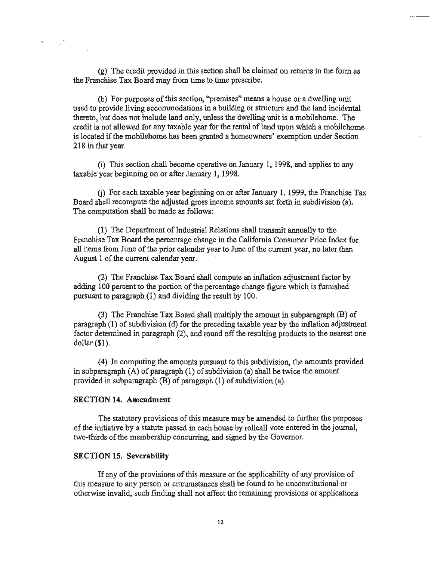(g) The credit provided in this section shall be claimed on returns in the form as the Franchise Tax Board may from time to time prescribe.

(h) For purposes of this section, "premises" means a house or a dwelling unit used to provide living accommodations in a building or structure and the land incidental thereto, but does not include land only, unless the dwelling unit is a mobilehome. The credit is not allowed for any taxable year for the rental of land upon which a mobilehome is located if the mobilehome has been granted a homeowners' exemption under Section 218 in that year.

(i) This section shall become operative on January I, 1998, and applies to any taxable year beginning on or after January 1, 1998.

(j) For each taxable year beginning on or after January 1. 1999, the Franchise Tax Board shall recompute the adjusted gross income amounts set forth in subdivision (a). The computation shall be made as follows:

(1) The Department of Industrial Relations shall transmit annually to the Franchise Tax Board the percentage change in the California Consumer Price Index for all items from June of the prior calendar year to June of the current year, no later than August 1 of the current calendar year.

(2) The Franchise Tax Board shall compute an inflation adjustment factor by adding 100 percent to the portion of the percentage change figure which is furnished pursuant to paragraph (I) and dividing the result by 100.

(3) The Franchise Tax Board shall multiply the amount in subparagraph (B) of paragraph  $(1)$  of subdivision  $(d)$  for the preceding taxable year by the inflation adjustment factor detennined in paragraph (2), and round off the resulting products to the nearest one dollar $(\$1)$ .

(4) In computing the amounts pursuant to this subdivision, the amounts provided in subparagraph  $(A)$  of paragraph  $(1)$  of subdivision  $(a)$  shall be twice the amount provided in subparagraph  $(B)$  of paragraph  $(1)$  of subdivision (a).

#### SECTION 14. Amendment

The statutory provisions of this measure may be amended to further the purposes of the initiative by a statute passed in each house by rollcall vote entered in the journal, two-thirds of the membership concurring, and signed by the Governor.

#### SECTION 15. Severability

If any of the provisions of this measure or the applicability of any provision of this measure to any person or circumstances shall be found to be unconstitutional or otherwise invalid, such finding shall not affect the remaining provisions or applications